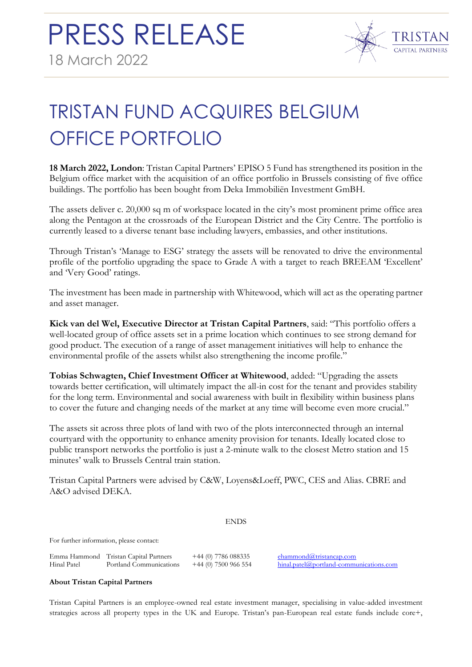

## TRISTAN FUND ACQUIRES BELGIUM OFFICE PORTFOLIO

**18 March 2022, London**: Tristan Capital Partners' EPISO 5 Fund has strengthened its position in the Belgium office market with the acquisition of an office portfolio in Brussels consisting of five office buildings. The portfolio has been bought from Deka Immobiliën Investment GmBH.

The assets deliver c. 20,000 sq m of workspace located in the city's most prominent prime office area along the Pentagon at the crossroads of the European District and the City Centre. The portfolio is currently leased to a diverse tenant base including lawyers, embassies, and other institutions.

Through Tristan's 'Manage to ESG' strategy the assets will be renovated to drive the environmental profile of the portfolio upgrading the space to Grade A with a target to reach BREEAM 'Excellent' and 'Very Good' ratings.

The investment has been made in partnership with Whitewood, which will act as the operating partner and asset manager.

**Kick van del Wel, Executive Director at Tristan Capital Partners**, said: "This portfolio offers a well-located group of office assets set in a prime location which continues to see strong demand for good product. The execution of a range of asset management initiatives will help to enhance the environmental profile of the assets whilst also strengthening the income profile."

**Tobias Schwagten, Chief Investment Officer at Whitewood**, added: "Upgrading the assets towards better certification, will ultimately impact the all-in cost for the tenant and provides stability for the long term. Environmental and social awareness with built in flexibility within business plans to cover the future and changing needs of the market at any time will become even more crucial."

The assets sit across three plots of land with two of the plots interconnected through an internal courtyard with the opportunity to enhance amenity provision for tenants. Ideally located close to public transport networks the portfolio is just a 2-minute walk to the closest Metro station and 15 minutes' walk to Brussels Central train station.

Tristan Capital Partners were advised by C&W, Loyens&Loeff, PWC, CES and Alias. CBRE and A&O advised DEKA.

## ENDS

For further information, please contact:

Emma Hammond Tristan Capital Partners +44 (0) 7786 088335 [ehammond@tristancap.com](mailto:ogriffiths@tristancap.com) Hinal Patel Portland Communications +44 (0) 7500 966 554 [hinal.patel@portland-communications.com](mailto:hinal.patel@portland-communications.com)

## **About Tristan Capital Partners**

Tristan Capital Partners is an employee-owned real estate investment manager, specialising in value-added investment strategies across all property types in the UK and Europe. Tristan's pan-European real estate funds include core+,